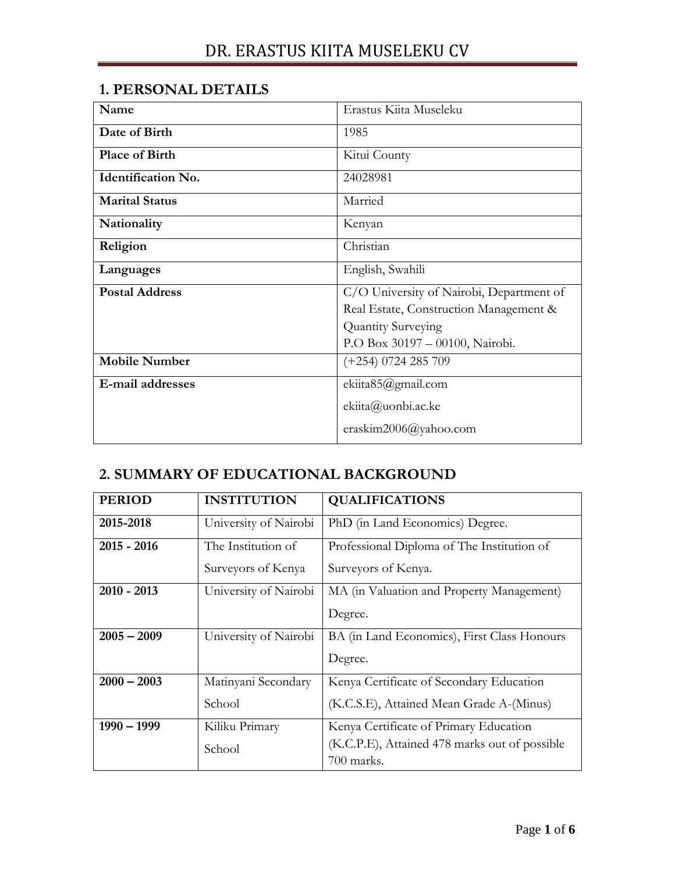### **1. PERSONAL DETAILS**

| Name                      | Erastus Kiita Museleku                   |  |
|---------------------------|------------------------------------------|--|
| Date of Birth             | 1985                                     |  |
| <b>Place of Birth</b>     | Kitui County                             |  |
| <b>Identification No.</b> | 24028981                                 |  |
| <b>Marital Status</b>     | Married                                  |  |
| Nationality               | Kenyan                                   |  |
| Religion                  | Christian                                |  |
| Languages                 | English, Swahili                         |  |
| <b>Postal Address</b>     | C/O University of Nairobi, Department of |  |
|                           | Real Estate, Construction Management &   |  |
|                           | Quantity Surveying                       |  |
|                           | P.O Box 30197 - 00100, Nairobi.          |  |
| <b>Mobile Number</b>      | $(+254)$ 0724 285 709                    |  |
| E-mail addresses          | ekiita85@gmail.com                       |  |
|                           | ekiita@uonbi.ac.ke                       |  |
|                           | eraskim2006@yahoo.com                    |  |

## **2. SUMMARY OF EDUCATIONAL BACKGROUND**

| <b>PERIOD</b> | <b>INSTITUTION</b>    | <b>QUALIFICATIONS</b>                         |  |
|---------------|-----------------------|-----------------------------------------------|--|
| 2015-2018     | University of Nairobi | PhD (in Land Economics) Degree.               |  |
| $2015 - 2016$ | The Institution of    | Professional Diploma of The Institution of    |  |
|               | Surveyors of Kenya    | Surveyors of Kenya.                           |  |
| $2010 - 2013$ | University of Nairobi | MA (in Valuation and Property Management)     |  |
|               |                       | Degree.                                       |  |
| $2005 - 2009$ | University of Nairobi | BA (in Land Economics), First Class Honours   |  |
|               |                       | Degree.                                       |  |
| $2000 - 2003$ | Matinyani Secondary   | Kenya Certificate of Secondary Education      |  |
|               | School                | (K.C.S.E), Attained Mean Grade A-(Minus)      |  |
| $1990 - 1999$ | Kiliku Primary        | Kenya Certificate of Primary Education        |  |
|               | School                | (K.C.P.E), Attained 478 marks out of possible |  |
|               |                       | 700 marks.                                    |  |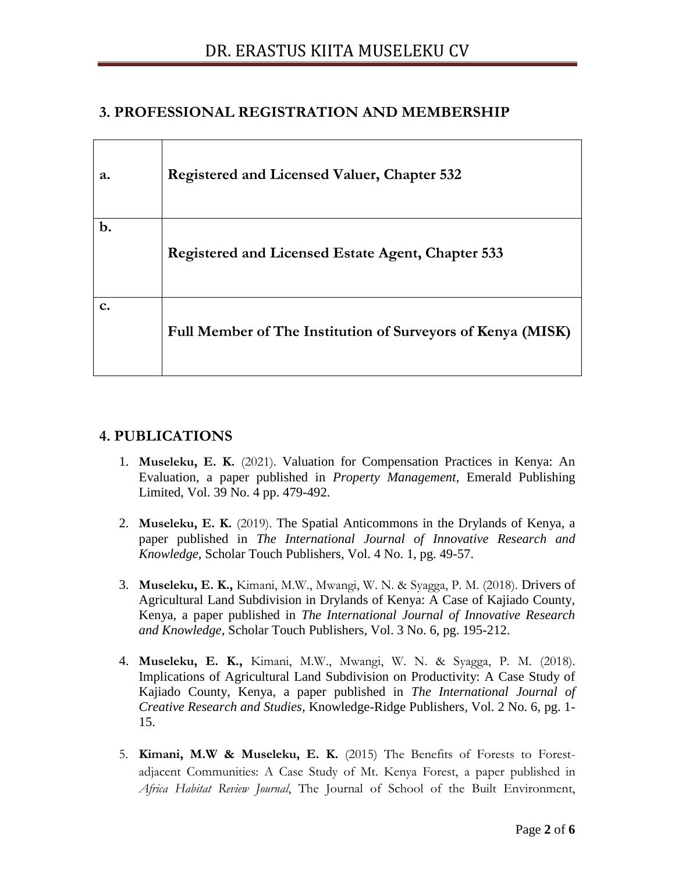### **3. PROFESSIONAL REGISTRATION AND MEMBERSHIP**

| a.             | <b>Registered and Licensed Valuer, Chapter 532</b>          |
|----------------|-------------------------------------------------------------|
| $b$ .          | Registered and Licensed Estate Agent, Chapter 533           |
| $\mathbf{c}$ . | Full Member of The Institution of Surveyors of Kenya (MISK) |

### **4. PUBLICATIONS**

- 1. **Museleku, E. K.** (2021). Valuation for Compensation Practices in Kenya: An Evaluation, a paper published in *Property Management,* Emerald Publishing Limited, Vol. 39 No. 4 pp. 479-492.
- 2. **Museleku, E. K.** (2019). The Spatial Anticommons in the Drylands of Kenya, a paper published in *The International Journal of Innovative Research and Knowledge,* Scholar Touch Publishers*,* Vol. 4 No. 1, pg. 49-57.
- 3. **Museleku, E. K.,** Kimani, M.W., Mwangi, W. N. & Syagga, P. M. (2018). Drivers of Agricultural Land Subdivision in Drylands of Kenya: A Case of Kajiado County, Kenya, a paper published in *The International Journal of Innovative Research and Knowledge,* Scholar Touch Publishers*,* Vol. 3 No. 6, pg. 195-212.
- 4. **Museleku, E. K.,** Kimani, M.W., Mwangi, W. N. & Syagga, P. M. (2018). Implications of Agricultural Land Subdivision on Productivity: A Case Study of Kajiado County, Kenya, a paper published in *The International Journal of Creative Research and Studies,* Knowledge-Ridge Publishers*,* Vol. 2 No. 6, pg. 1- 15.
- 5. **Kimani, M.W & Museleku, E. K.** (2015) The Benefits of Forests to Forestadjacent Communities: A Case Study of Mt. Kenya Forest, a paper published in *Africa Habitat Review Journal*, The Journal of School of the Built Environment,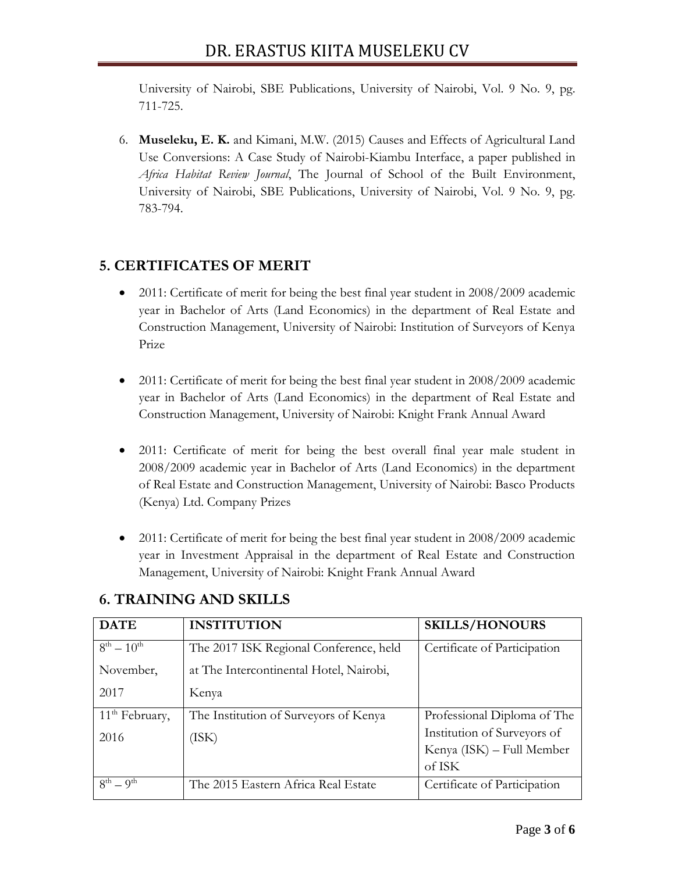University of Nairobi, SBE Publications, University of Nairobi, Vol. 9 No. 9, pg. 711-725.

6. **Museleku, E. K.** and Kimani, M.W. (2015) Causes and Effects of Agricultural Land Use Conversions: A Case Study of Nairobi-Kiambu Interface, a paper published in *Africa Habitat Review Journal*, The Journal of School of the Built Environment, University of Nairobi, SBE Publications, University of Nairobi, Vol. 9 No. 9, pg. 783-794.

### **5. CERTIFICATES OF MERIT**

- 2011: Certificate of merit for being the best final year student in 2008/2009 academic year in Bachelor of Arts (Land Economics) in the department of Real Estate and Construction Management, University of Nairobi: Institution of Surveyors of Kenya Prize
- 2011: Certificate of merit for being the best final year student in 2008/2009 academic year in Bachelor of Arts (Land Economics) in the department of Real Estate and Construction Management, University of Nairobi: Knight Frank Annual Award
- 2011: Certificate of merit for being the best overall final year male student in 2008/2009 academic year in Bachelor of Arts (Land Economics) in the department of Real Estate and Construction Management, University of Nairobi: Basco Products (Kenya) Ltd. Company Prizes
- 2011: Certificate of merit for being the best final year student in 2008/2009 academic year in Investment Appraisal in the department of Real Estate and Construction Management, University of Nairobi: Knight Frank Annual Award

| <b>DATE</b>                | <b>INSTITUTION</b>                      | <b>SKILLS/HONOURS</b>        |
|----------------------------|-----------------------------------------|------------------------------|
| $8^{th} - 10^{th}$         | The 2017 ISK Regional Conference, held  | Certificate of Participation |
| November,                  | at The Intercontinental Hotel, Nairobi, |                              |
| 2017                       | Kenya                                   |                              |
| 11 <sup>th</sup> February, | The Institution of Surveyors of Kenya   | Professional Diploma of The  |
| 2016                       | (ISK)                                   | Institution of Surveyors of  |
|                            |                                         | Kenya (ISK) – Full Member    |
|                            |                                         | of ISK                       |
| $8^{th} - 9^{th}$          | The 2015 Eastern Africa Real Estate     | Certificate of Participation |

## **6. TRAINING AND SKILLS**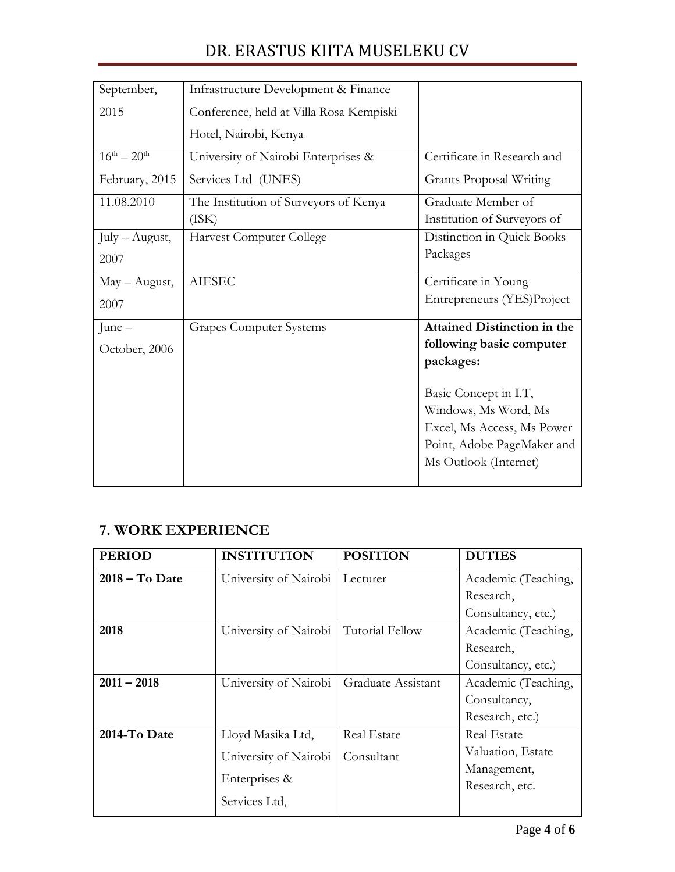# DR. ERASTUS KIITA MUSELEKU CV

| September,          | Infrastructure Development & Finance    |                                    |
|---------------------|-----------------------------------------|------------------------------------|
| 2015                | Conference, held at Villa Rosa Kempiski |                                    |
|                     | Hotel, Nairobi, Kenya                   |                                    |
| $16^{th} - 20^{th}$ | University of Nairobi Enterprises &     | Certificate in Research and        |
| February, 2015      | Services Ltd (UNES)                     | <b>Grants Proposal Writing</b>     |
| 11.08.2010          | The Institution of Surveyors of Kenya   | Graduate Member of                 |
|                     | (ISK)                                   | Institution of Surveyors of        |
| $July - August,$    | Harvest Computer College                | Distinction in Quick Books         |
| 2007                |                                         | Packages                           |
| $May - August,$     | <b>AIESEC</b>                           | Certificate in Young               |
| 2007                |                                         | Entrepreneurs (YES)Project         |
| June $-$            | <b>Grapes Computer Systems</b>          | <b>Attained Distinction in the</b> |
| October, 2006       |                                         | following basic computer           |
|                     |                                         | packages:                          |
|                     |                                         | Basic Concept in I.T,              |
|                     |                                         | Windows, Ms Word, Ms               |
|                     |                                         | Excel, Ms Access, Ms Power         |
|                     |                                         | Point, Adobe PageMaker and         |
|                     |                                         | Ms Outlook (Internet)              |
|                     |                                         |                                    |

## **7. WORK EXPERIENCE**

| <b>PERIOD</b>    | <b>INSTITUTION</b>    | <b>POSITION</b>    | <b>DUTIES</b>       |
|------------------|-----------------------|--------------------|---------------------|
| $2018 - To$ Date | University of Nairobi | Lecturer           | Academic (Teaching, |
|                  |                       |                    | Research,           |
|                  |                       |                    | Consultancy, etc.)  |
| 2018             | University of Nairobi | Tutorial Fellow    | Academic (Teaching, |
|                  |                       |                    | Research,           |
|                  |                       |                    | Consultancy, etc.)  |
| $2011 - 2018$    | University of Nairobi | Graduate Assistant | Academic (Teaching, |
|                  |                       |                    | Consultancy,        |
|                  |                       |                    | Research, etc.)     |
| 2014-To Date     | Lloyd Masika Ltd,     | <b>Real Estate</b> | <b>Real Estate</b>  |
|                  | University of Nairobi | Consultant         | Valuation, Estate   |
|                  |                       |                    | Management,         |
|                  | Enterprises &         |                    | Research, etc.      |
|                  | Services Ltd,         |                    |                     |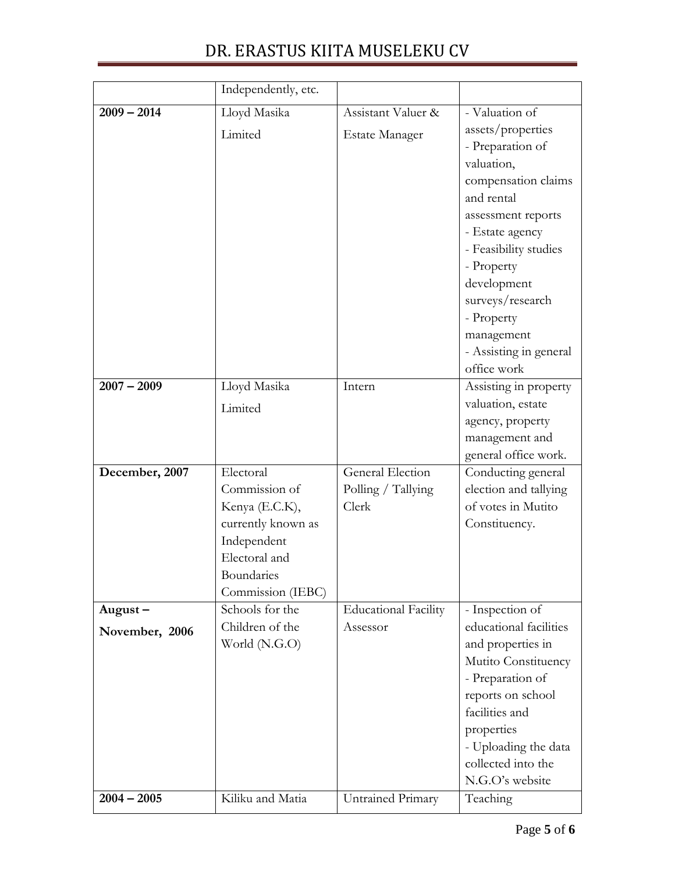# DR. ERASTUS KIITA MUSELEKU CV

|                | Independently, etc.                |                             |                                           |
|----------------|------------------------------------|-----------------------------|-------------------------------------------|
| $2009 - 2014$  | Lloyd Masika                       | Assistant Valuer &          | - Valuation of                            |
|                | Limited                            | <b>Estate Manager</b>       | assets/properties                         |
|                |                                    |                             | - Preparation of                          |
|                |                                    |                             | valuation,                                |
|                |                                    |                             | compensation claims                       |
|                |                                    |                             | and rental                                |
|                |                                    |                             | assessment reports                        |
|                |                                    |                             | - Estate agency                           |
|                |                                    |                             | - Feasibility studies                     |
|                |                                    |                             | - Property                                |
|                |                                    |                             | development                               |
|                |                                    |                             | surveys/research                          |
|                |                                    |                             | - Property                                |
|                |                                    |                             | management                                |
|                |                                    |                             | - Assisting in general                    |
|                |                                    |                             | office work                               |
| $2007 - 2009$  | Lloyd Masika                       | Intern                      | Assisting in property                     |
|                | Limited                            |                             | valuation, estate                         |
|                |                                    |                             | agency, property                          |
|                |                                    |                             | management and                            |
|                |                                    |                             | general office work.                      |
| December, 2007 | Electoral                          | General Election            | Conducting general                        |
|                | Commission of                      | Polling / Tallying          | election and tallying                     |
|                | Kenya (E.C.K),                     | Clerk                       | of votes in Mutito                        |
|                | currently known as                 |                             | Constituency.                             |
|                | Independent                        |                             |                                           |
|                | Electoral and                      |                             |                                           |
|                | Boundaries                         |                             |                                           |
|                | Commission (IEBC)                  |                             |                                           |
| $August -$     | Schools for the<br>Children of the | <b>Educational Facility</b> | - Inspection of<br>educational facilities |
| November, 2006 |                                    | Assessor                    |                                           |
|                | World (N.G.O)                      |                             | and properties in                         |
|                |                                    |                             | Mutito Constituency                       |
|                |                                    |                             | - Preparation of                          |
|                |                                    |                             | reports on school<br>facilities and       |
|                |                                    |                             |                                           |
|                |                                    |                             | properties<br>- Uploading the data        |
|                |                                    |                             | collected into the                        |
|                |                                    |                             | N.G.O's website                           |
| $2004 - 2005$  | Kiliku and Matia                   | Untrained Primary           | Teaching                                  |
|                |                                    |                             |                                           |